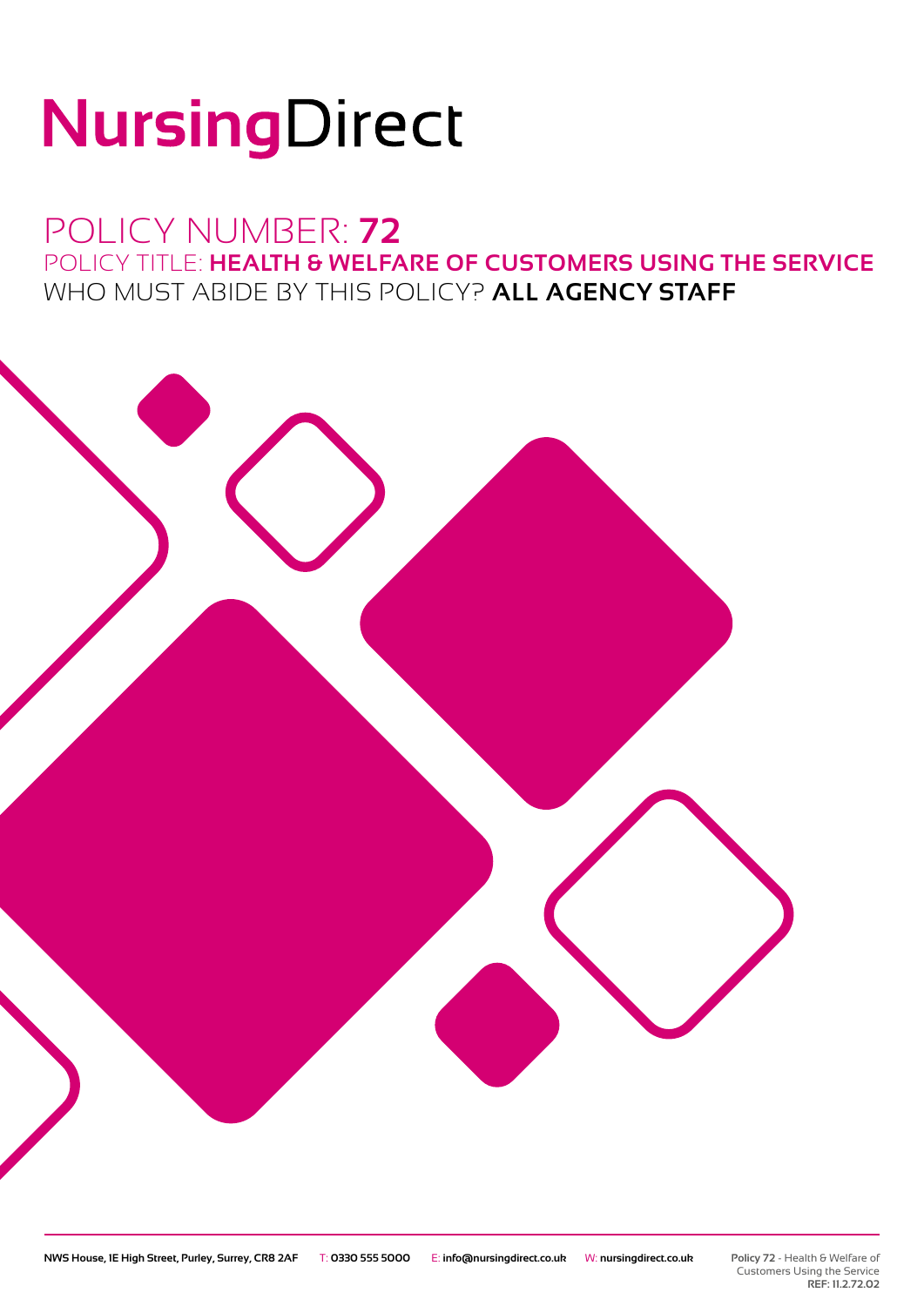# NursingDirect

## POLICY NUMBER: **72** POLICY TITLE: **HEALTH & WELFARE OF CUSTOMERS USING THE SERVICE** WHO MUST ABIDE BY THIS POLICY? **ALL AGENCY STAFF**